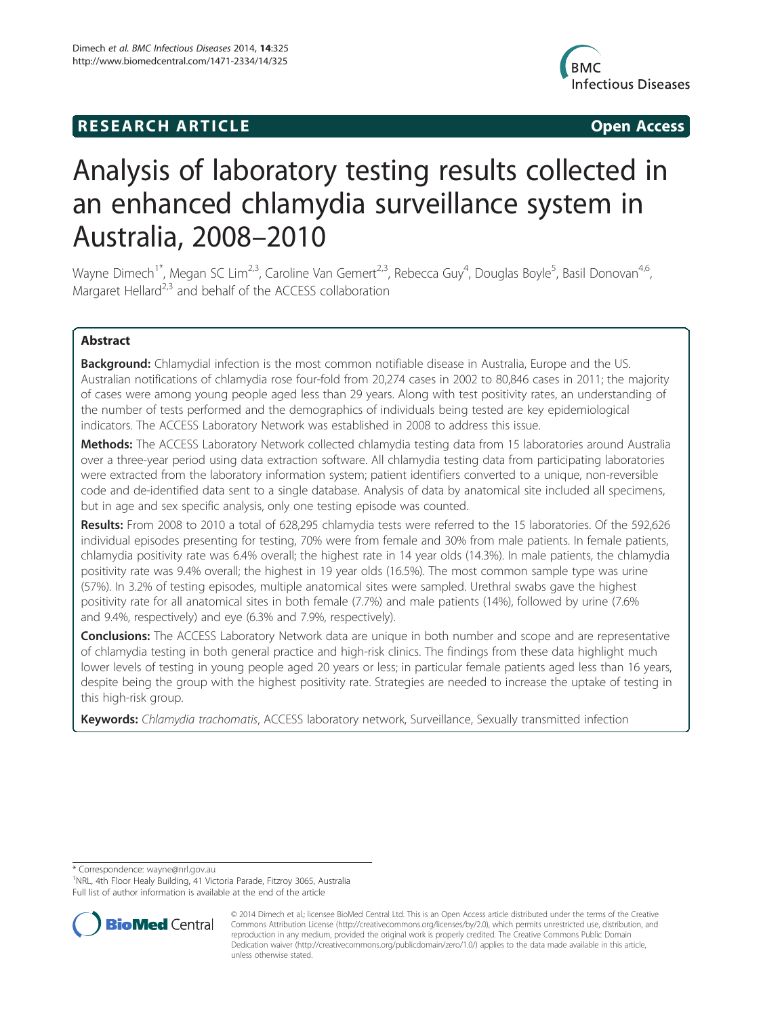# **RESEARCH ARTICLE Example 2018 12:00 Open Access**



# Analysis of laboratory testing results collected in an enhanced chlamydia surveillance system in Australia, 2008–2010

Wayne Dimech<sup>1\*</sup>, Megan SC Lim<sup>2,3</sup>, Caroline Van Gemert<sup>2,3</sup>, Rebecca Guy<sup>4</sup>, Douglas Boyle<sup>5</sup>, Basil Donovan<sup>4,6</sup>, Margaret Hellard<sup>2,3</sup> and behalf of the ACCESS collaboration

# Abstract

**Background:** Chlamydial infection is the most common notifiable disease in Australia, Europe and the US. Australian notifications of chlamydia rose four-fold from 20,274 cases in 2002 to 80,846 cases in 2011; the majority of cases were among young people aged less than 29 years. Along with test positivity rates, an understanding of the number of tests performed and the demographics of individuals being tested are key epidemiological indicators. The ACCESS Laboratory Network was established in 2008 to address this issue.

Methods: The ACCESS Laboratory Network collected chlamydia testing data from 15 laboratories around Australia over a three-year period using data extraction software. All chlamydia testing data from participating laboratories were extracted from the laboratory information system; patient identifiers converted to a unique, non-reversible code and de-identified data sent to a single database. Analysis of data by anatomical site included all specimens, but in age and sex specific analysis, only one testing episode was counted.

Results: From 2008 to 2010 a total of 628,295 chlamydia tests were referred to the 15 laboratories. Of the 592,626 individual episodes presenting for testing, 70% were from female and 30% from male patients. In female patients, chlamydia positivity rate was 6.4% overall; the highest rate in 14 year olds (14.3%). In male patients, the chlamydia positivity rate was 9.4% overall; the highest in 19 year olds (16.5%). The most common sample type was urine (57%). In 3.2% of testing episodes, multiple anatomical sites were sampled. Urethral swabs gave the highest positivity rate for all anatomical sites in both female (7.7%) and male patients (14%), followed by urine (7.6% and 9.4%, respectively) and eye (6.3% and 7.9%, respectively).

**Conclusions:** The ACCESS Laboratory Network data are unique in both number and scope and are representative of chlamydia testing in both general practice and high-risk clinics. The findings from these data highlight much lower levels of testing in young people aged 20 years or less; in particular female patients aged less than 16 years, despite being the group with the highest positivity rate. Strategies are needed to increase the uptake of testing in this high-risk group.

Keywords: Chlamydia trachomatis, ACCESS laboratory network, Surveillance, Sexually transmitted infection

\* Correspondence: [wayne@nrl.gov.au](mailto:wayne@nrl.gov.au) <sup>1</sup>

<sup>1</sup>NRL, 4th Floor Healy Building, 41 Victoria Parade, Fitzroy 3065, Australia Full list of author information is available at the end of the article



<sup>© 2014</sup> Dimech et al.; licensee BioMed Central Ltd. This is an Open Access article distributed under the terms of the Creative Commons Attribution License [\(http://creativecommons.org/licenses/by/2.0\)](http://creativecommons.org/licenses/by/2.0), which permits unrestricted use, distribution, and reproduction in any medium, provided the original work is properly credited. The Creative Commons Public Domain Dedication waiver [\(http://creativecommons.org/publicdomain/zero/1.0/](http://creativecommons.org/publicdomain/zero/1.0/)) applies to the data made available in this article, unless otherwise stated.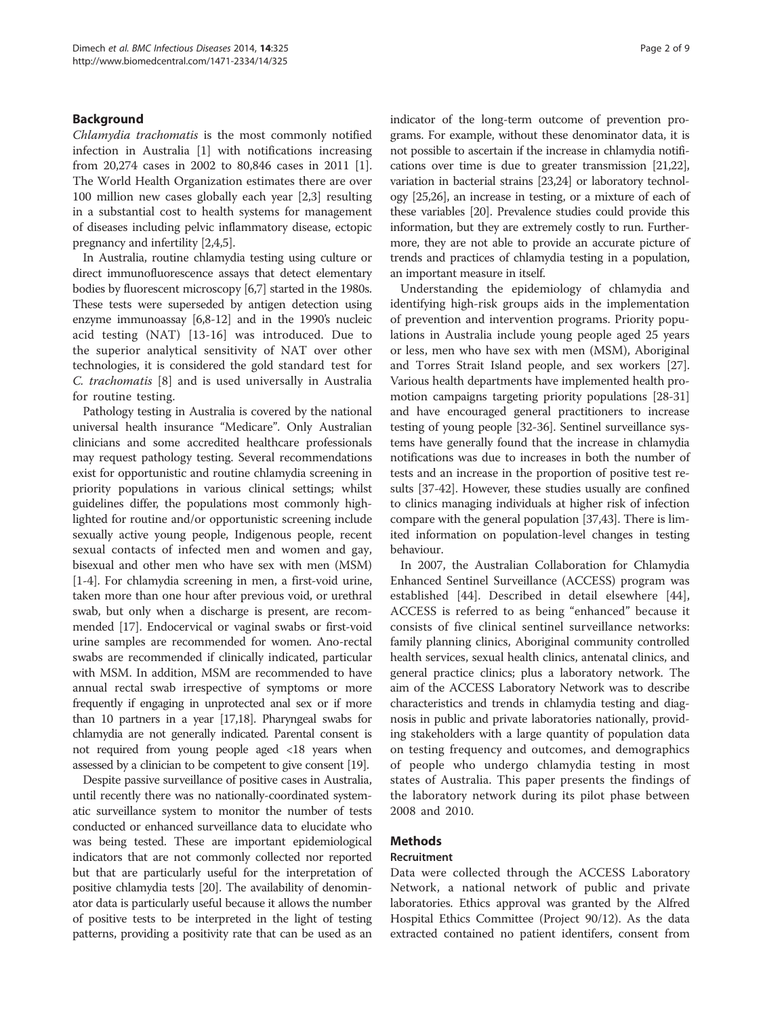# Background

Chlamydia trachomatis is the most commonly notified infection in Australia [[1\]](#page-7-0) with notifications increasing from 20,274 cases in 2002 to 80,846 cases in 2011 [\[1](#page-7-0)]. The World Health Organization estimates there are over 100 million new cases globally each year [[2,3\]](#page-7-0) resulting in a substantial cost to health systems for management of diseases including pelvic inflammatory disease, ectopic pregnancy and infertility [\[2,4,5\]](#page-7-0).

In Australia, routine chlamydia testing using culture or direct immunofluorescence assays that detect elementary bodies by fluorescent microscopy [[6,7](#page-7-0)] started in the 1980s. These tests were superseded by antigen detection using enzyme immunoassay [\[6,8-12\]](#page-7-0) and in the 1990's nucleic acid testing (NAT) [\[13-16](#page-7-0)] was introduced. Due to the superior analytical sensitivity of NAT over other technologies, it is considered the gold standard test for C. trachomatis [\[8](#page-7-0)] and is used universally in Australia for routine testing.

Pathology testing in Australia is covered by the national universal health insurance "Medicare". Only Australian clinicians and some accredited healthcare professionals may request pathology testing. Several recommendations exist for opportunistic and routine chlamydia screening in priority populations in various clinical settings; whilst guidelines differ, the populations most commonly highlighted for routine and/or opportunistic screening include sexually active young people, Indigenous people, recent sexual contacts of infected men and women and gay, bisexual and other men who have sex with men (MSM) [[1-4\]](#page-7-0). For chlamydia screening in men, a first-void urine, taken more than one hour after previous void, or urethral swab, but only when a discharge is present, are recommended [\[17\]](#page-7-0). Endocervical or vaginal swabs or first-void urine samples are recommended for women. Ano-rectal swabs are recommended if clinically indicated, particular with MSM. In addition, MSM are recommended to have annual rectal swab irrespective of symptoms or more frequently if engaging in unprotected anal sex or if more than 10 partners in a year [[17,18](#page-7-0)]. Pharyngeal swabs for chlamydia are not generally indicated. Parental consent is not required from young people aged <18 years when assessed by a clinician to be competent to give consent [\[19](#page-7-0)].

Despite passive surveillance of positive cases in Australia, until recently there was no nationally-coordinated systematic surveillance system to monitor the number of tests conducted or enhanced surveillance data to elucidate who was being tested. These are important epidemiological indicators that are not commonly collected nor reported but that are particularly useful for the interpretation of positive chlamydia tests [\[20\]](#page-7-0). The availability of denominator data is particularly useful because it allows the number of positive tests to be interpreted in the light of testing patterns, providing a positivity rate that can be used as an indicator of the long-term outcome of prevention programs. For example, without these denominator data, it is not possible to ascertain if the increase in chlamydia notifications over time is due to greater transmission [\[21,22](#page-7-0)], variation in bacterial strains [[23,24\]](#page-7-0) or laboratory technology [[25](#page-7-0)[,26\]](#page-8-0), an increase in testing, or a mixture of each of these variables [[20](#page-7-0)]. Prevalence studies could provide this information, but they are extremely costly to run. Furthermore, they are not able to provide an accurate picture of trends and practices of chlamydia testing in a population, an important measure in itself.

Understanding the epidemiology of chlamydia and identifying high-risk groups aids in the implementation of prevention and intervention programs. Priority populations in Australia include young people aged 25 years or less, men who have sex with men (MSM), Aboriginal and Torres Strait Island people, and sex workers [[27](#page-8-0)]. Various health departments have implemented health promotion campaigns targeting priority populations [[28](#page-8-0)-[31](#page-8-0)] and have encouraged general practitioners to increase testing of young people [\[32-36\]](#page-8-0). Sentinel surveillance systems have generally found that the increase in chlamydia notifications was due to increases in both the number of tests and an increase in the proportion of positive test results [[37](#page-8-0)-[42](#page-8-0)]. However, these studies usually are confined to clinics managing individuals at higher risk of infection compare with the general population [[37,43](#page-8-0)]. There is limited information on population-level changes in testing behaviour.

In 2007, the Australian Collaboration for Chlamydia Enhanced Sentinel Surveillance (ACCESS) program was established [[44\]](#page-8-0). Described in detail elsewhere [\[44](#page-8-0)], ACCESS is referred to as being "enhanced" because it consists of five clinical sentinel surveillance networks: family planning clinics, Aboriginal community controlled health services, sexual health clinics, antenatal clinics, and general practice clinics; plus a laboratory network. The aim of the ACCESS Laboratory Network was to describe characteristics and trends in chlamydia testing and diagnosis in public and private laboratories nationally, providing stakeholders with a large quantity of population data on testing frequency and outcomes, and demographics of people who undergo chlamydia testing in most states of Australia. This paper presents the findings of the laboratory network during its pilot phase between 2008 and 2010.

# Methods

# Recruitment

Data were collected through the ACCESS Laboratory Network, a national network of public and private laboratories. Ethics approval was granted by the Alfred Hospital Ethics Committee (Project 90/12). As the data extracted contained no patient identifers, consent from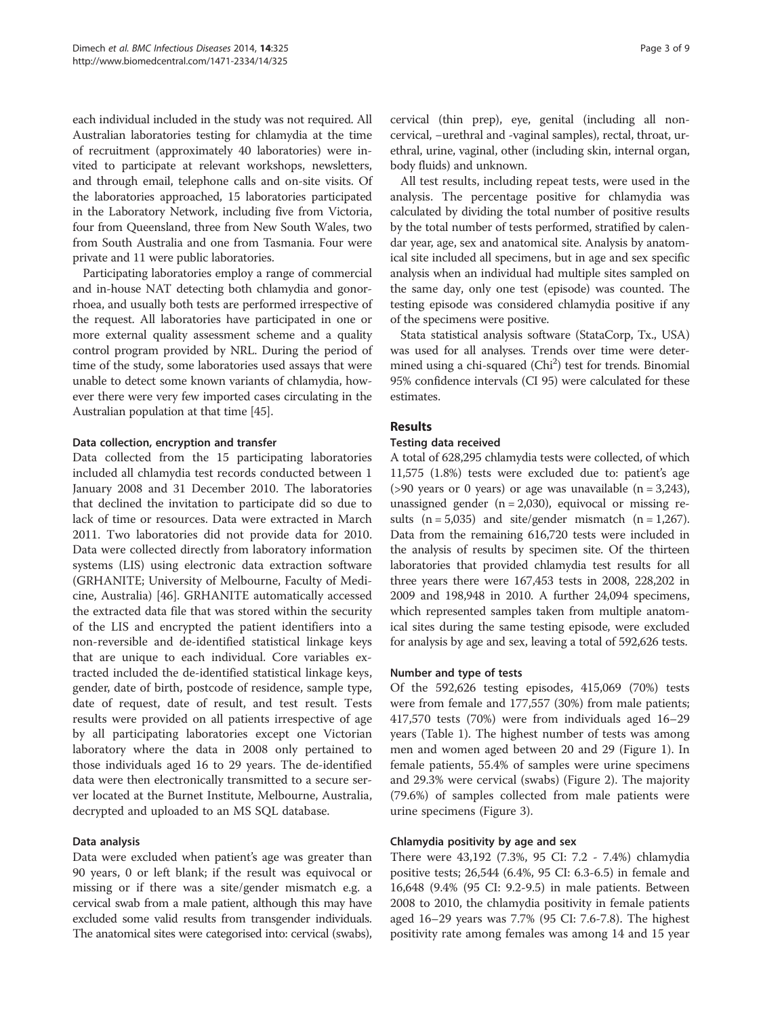each individual included in the study was not required. All Australian laboratories testing for chlamydia at the time of recruitment (approximately 40 laboratories) were invited to participate at relevant workshops, newsletters, and through email, telephone calls and on-site visits. Of the laboratories approached, 15 laboratories participated in the Laboratory Network, including five from Victoria, four from Queensland, three from New South Wales, two from South Australia and one from Tasmania. Four were private and 11 were public laboratories.

Participating laboratories employ a range of commercial and in-house NAT detecting both chlamydia and gonorrhoea, and usually both tests are performed irrespective of the request. All laboratories have participated in one or more external quality assessment scheme and a quality control program provided by NRL. During the period of time of the study, some laboratories used assays that were unable to detect some known variants of chlamydia, however there were very few imported cases circulating in the Australian population at that time [[45](#page-8-0)].

#### Data collection, encryption and transfer

Data collected from the 15 participating laboratories included all chlamydia test records conducted between 1 January 2008 and 31 December 2010. The laboratories that declined the invitation to participate did so due to lack of time or resources. Data were extracted in March 2011. Two laboratories did not provide data for 2010. Data were collected directly from laboratory information systems (LIS) using electronic data extraction software (GRHANITE; University of Melbourne, Faculty of Medicine, Australia) [\[46](#page-8-0)]. GRHANITE automatically accessed the extracted data file that was stored within the security of the LIS and encrypted the patient identifiers into a non-reversible and de-identified statistical linkage keys that are unique to each individual. Core variables extracted included the de-identified statistical linkage keys, gender, date of birth, postcode of residence, sample type, date of request, date of result, and test result. Tests results were provided on all patients irrespective of age by all participating laboratories except one Victorian laboratory where the data in 2008 only pertained to those individuals aged 16 to 29 years. The de-identified data were then electronically transmitted to a secure server located at the Burnet Institute, Melbourne, Australia, decrypted and uploaded to an MS SQL database.

#### Data analysis

Data were excluded when patient's age was greater than 90 years, 0 or left blank; if the result was equivocal or missing or if there was a site/gender mismatch e.g. a cervical swab from a male patient, although this may have excluded some valid results from transgender individuals. The anatomical sites were categorised into: cervical (swabs), cervical (thin prep), eye, genital (including all noncervical, −urethral and -vaginal samples), rectal, throat, urethral, urine, vaginal, other (including skin, internal organ, body fluids) and unknown.

All test results, including repeat tests, were used in the analysis. The percentage positive for chlamydia was calculated by dividing the total number of positive results by the total number of tests performed, stratified by calendar year, age, sex and anatomical site. Analysis by anatomical site included all specimens, but in age and sex specific analysis when an individual had multiple sites sampled on the same day, only one test (episode) was counted. The testing episode was considered chlamydia positive if any of the specimens were positive.

Stata statistical analysis software (StataCorp, Tx., USA) was used for all analyses. Trends over time were determined using a chi-squared (Chi<sup>2</sup>) test for trends. Binomial 95% confidence intervals (CI 95) were calculated for these estimates.

# Results

#### Testing data received

A total of 628,295 chlamydia tests were collected, of which 11,575 (1.8%) tests were excluded due to: patient's age ( $>90$  years or 0 years) or age was unavailable ( $n = 3,243$ ), unassigned gender  $(n = 2,030)$ , equivocal or missing results  $(n = 5,035)$  and site/gender mismatch  $(n = 1,267)$ . Data from the remaining 616,720 tests were included in the analysis of results by specimen site. Of the thirteen laboratories that provided chlamydia test results for all three years there were 167,453 tests in 2008, 228,202 in 2009 and 198,948 in 2010. A further 24,094 specimens, which represented samples taken from multiple anatomical sites during the same testing episode, were excluded for analysis by age and sex, leaving a total of 592,626 tests.

#### Number and type of tests

Of the 592,626 testing episodes, 415,069 (70%) tests were from female and 177,557 (30%) from male patients; 417,570 tests (70%) were from individuals aged 16–29 years (Table [1](#page-3-0)). The highest number of tests was among men and women aged between 20 and 29 (Figure [1\)](#page-3-0). In female patients, 55.4% of samples were urine specimens and 29.3% were cervical (swabs) (Figure [2\)](#page-4-0). The majority (79.6%) of samples collected from male patients were urine specimens (Figure [3\)](#page-4-0).

#### Chlamydia positivity by age and sex

There were 43,192 (7.3%, 95 CI: 7.2 - 7.4%) chlamydia positive tests; 26,544 (6.4%, 95 CI: 6.3-6.5) in female and 16,648 (9.4% (95 CI: 9.2-9.5) in male patients. Between 2008 to 2010, the chlamydia positivity in female patients aged 16–29 years was 7.7% (95 CI: 7.6-7.8). The highest positivity rate among females was among 14 and 15 year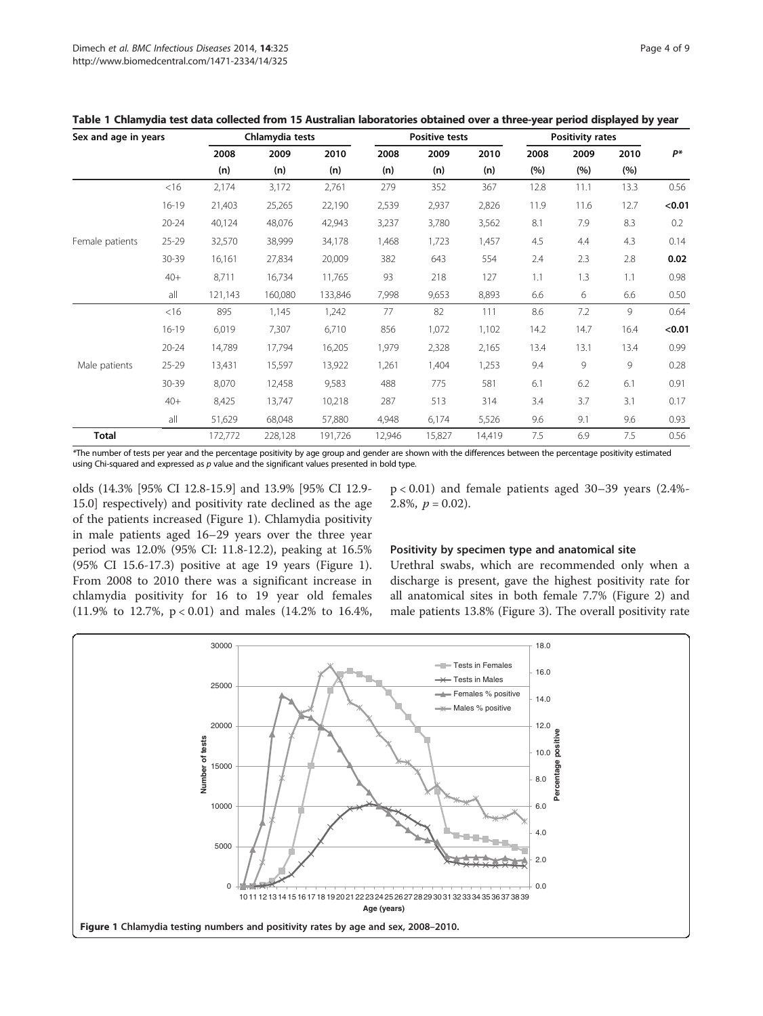| Sex and age in years |           | Chlamydia tests |         |         | <b>Positive tests</b> |        |        | <b>Positivity rates</b> |      |      |        |
|----------------------|-----------|-----------------|---------|---------|-----------------------|--------|--------|-------------------------|------|------|--------|
|                      |           | 2008            | 2009    | 2010    | 2008                  | 2009   | 2010   | 2008                    | 2009 | 2010 | $P^*$  |
|                      |           | (n)             | (n)     | (n)     | (n)                   | (n)    | (n)    | (%)                     | (%)  | (%)  |        |
|                      | $<$ 16    | 2,174           | 3,172   | 2,761   | 279                   | 352    | 367    | 12.8                    | 11.1 | 13.3 | 0.56   |
|                      | $16 - 19$ | 21,403          | 25,265  | 22,190  | 2,539                 | 2,937  | 2,826  | 11.9                    | 11.6 | 12.7 | < 0.01 |
|                      | $20 - 24$ | 40,124          | 48,076  | 42,943  | 3,237                 | 3,780  | 3,562  | 8.1                     | 7.9  | 8.3  | 0.2    |
| Female patients      | $25 - 29$ | 32,570          | 38,999  | 34,178  | 1,468                 | 1,723  | 1,457  | 4.5                     | 4.4  | 4.3  | 0.14   |
|                      | $30 - 39$ | 16,161          | 27,834  | 20,009  | 382                   | 643    | 554    | 2.4                     | 2.3  | 2.8  | 0.02   |
|                      | $40+$     | 8,711           | 16,734  | 11,765  | 93                    | 218    | 127    | 1.1                     | 1.3  | 1.1  | 0.98   |
|                      | all       | 121,143         | 160,080 | 133,846 | 7,998                 | 9,653  | 8,893  | 6.6                     | 6    | 6.6  | 0.50   |
|                      | $<$ 16    | 895             | 1,145   | 1,242   | 77                    | 82     | 111    | 8.6                     | 7.2  | 9    | 0.64   |
|                      | $16 - 19$ | 6,019           | 7,307   | 6,710   | 856                   | 1,072  | 1,102  | 14.2                    | 14.7 | 16.4 | < 0.01 |
|                      | $20 - 24$ | 14,789          | 17,794  | 16,205  | 1,979                 | 2,328  | 2,165  | 13.4                    | 13.1 | 13.4 | 0.99   |
| Male patients        | $25 - 29$ | 13,431          | 15,597  | 13,922  | 1,261                 | 1,404  | 1,253  | 9.4                     | 9    | 9    | 0.28   |
|                      | $30 - 39$ | 8,070           | 12,458  | 9,583   | 488                   | 775    | 581    | 6.1                     | 6.2  | 6.1  | 0.91   |
|                      | $40+$     | 8,425           | 13,747  | 10,218  | 287                   | 513    | 314    | 3.4                     | 3.7  | 3.1  | 0.17   |
|                      | all       | 51,629          | 68,048  | 57,880  | 4,948                 | 6,174  | 5,526  | 9.6                     | 9.1  | 9.6  | 0.93   |
| <b>Total</b>         |           | 172,772         | 228,128 | 191,726 | 12,946                | 15,827 | 14,419 | 7.5                     | 6.9  | 7.5  | 0.56   |

<span id="page-3-0"></span>Table 1 Chlamydia test data collected from 15 Australian laboratories obtained over a three-year period displayed by year

\*The number of tests per year and the percentage positivity by age group and gender are shown with the differences between the percentage positivity estimated using Chi-squared and expressed as p value and the significant values presented in bold type.

olds (14.3% [95% CI 12.8-15.9] and 13.9% [95% CI 12.9- 15.0] respectively) and positivity rate declined as the age of the patients increased (Figure 1). Chlamydia positivity in male patients aged 16–29 years over the three year period was 12.0% (95% CI: 11.8-12.2), peaking at 16.5% (95% CI 15.6-17.3) positive at age 19 years (Figure 1). From 2008 to 2010 there was a significant increase in chlamydia positivity for 16 to 19 year old females (11.9% to 12.7%, p < 0.01) and males (14.2% to 16.4%, p < 0.01) and female patients aged 30–39 years (2.4%- 2.8%,  $p = 0.02$ ).

#### Positivity by specimen type and anatomical site

Urethral swabs, which are recommended only when a discharge is present, gave the highest positivity rate for all anatomical sites in both female 7.7% (Figure [2](#page-4-0)) and male patients 13.8% (Figure [3\)](#page-4-0). The overall positivity rate

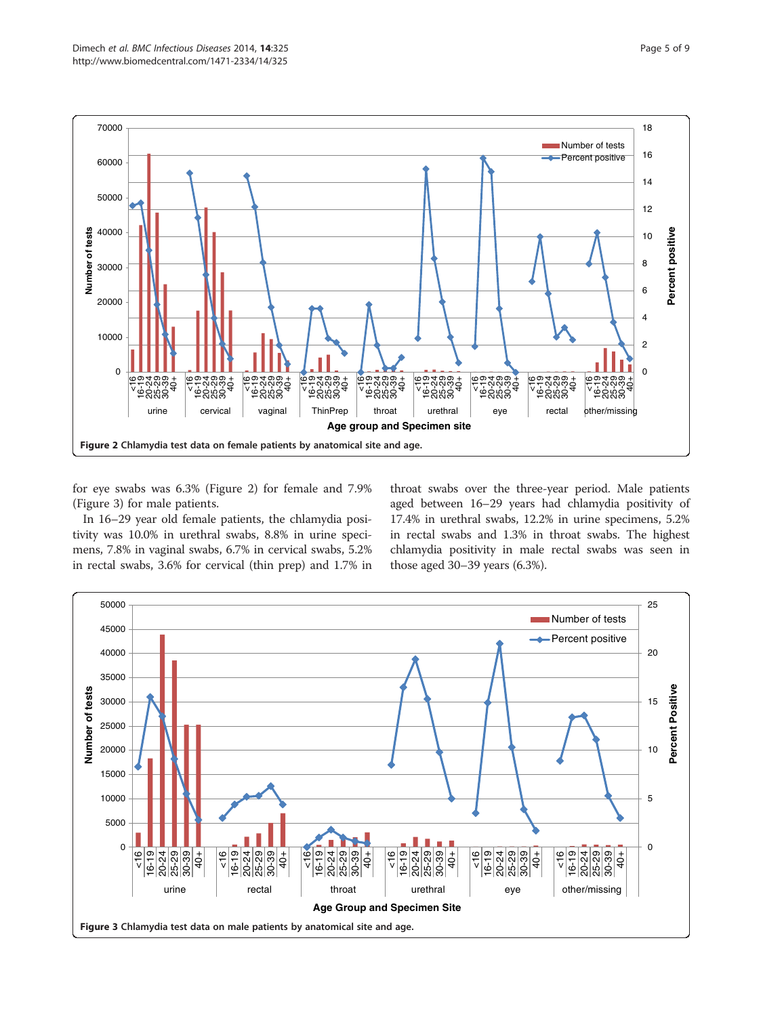<span id="page-4-0"></span>

for eye swabs was 6.3% (Figure 2) for female and 7.9% (Figure 3) for male patients.

In 16–29 year old female patients, the chlamydia positivity was 10.0% in urethral swabs, 8.8% in urine specimens, 7.8% in vaginal swabs, 6.7% in cervical swabs, 5.2% in rectal swabs, 3.6% for cervical (thin prep) and 1.7% in

throat swabs over the three-year period. Male patients aged between 16–29 years had chlamydia positivity of 17.4% in urethral swabs, 12.2% in urine specimens, 5.2% in rectal swabs and 1.3% in throat swabs. The highest chlamydia positivity in male rectal swabs was seen in those aged 30–39 years (6.3%).

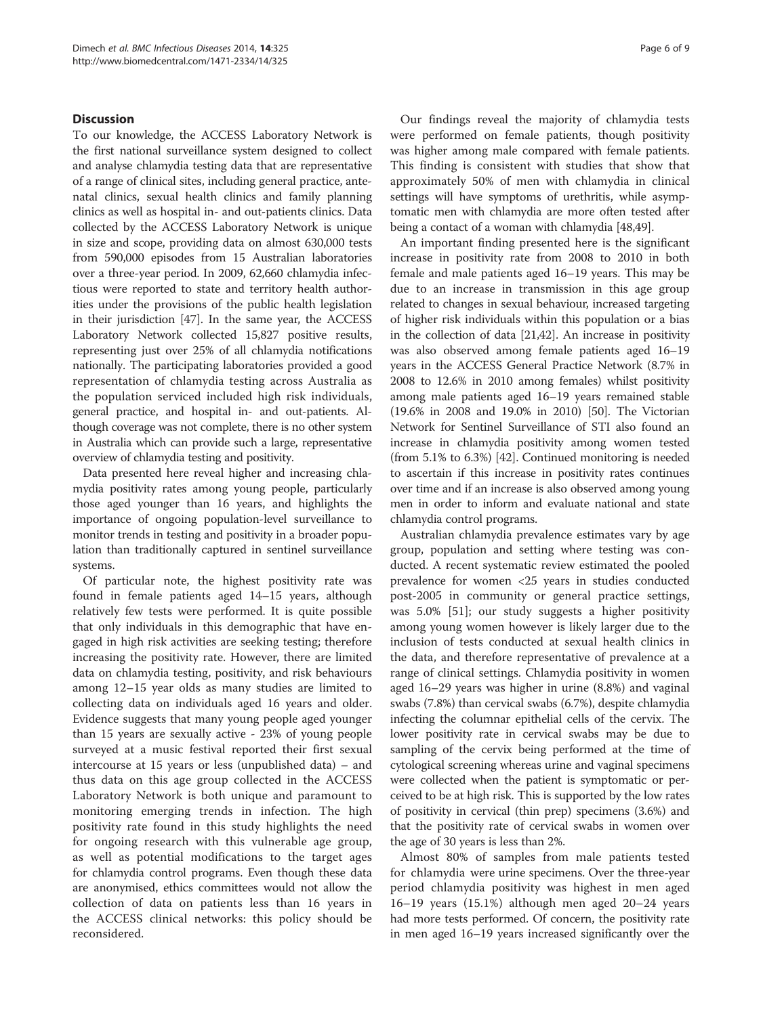# **Discussion**

To our knowledge, the ACCESS Laboratory Network is the first national surveillance system designed to collect and analyse chlamydia testing data that are representative of a range of clinical sites, including general practice, antenatal clinics, sexual health clinics and family planning clinics as well as hospital in- and out-patients clinics. Data collected by the ACCESS Laboratory Network is unique in size and scope, providing data on almost 630,000 tests from 590,000 episodes from 15 Australian laboratories over a three-year period. In 2009, 62,660 chlamydia infectious were reported to state and territory health authorities under the provisions of the public health legislation in their jurisdiction [[47](#page-8-0)]. In the same year, the ACCESS Laboratory Network collected 15,827 positive results, representing just over 25% of all chlamydia notifications nationally. The participating laboratories provided a good representation of chlamydia testing across Australia as the population serviced included high risk individuals, general practice, and hospital in- and out-patients. Although coverage was not complete, there is no other system in Australia which can provide such a large, representative overview of chlamydia testing and positivity.

Data presented here reveal higher and increasing chlamydia positivity rates among young people, particularly those aged younger than 16 years, and highlights the importance of ongoing population-level surveillance to monitor trends in testing and positivity in a broader population than traditionally captured in sentinel surveillance systems.

Of particular note, the highest positivity rate was found in female patients aged 14–15 years, although relatively few tests were performed. It is quite possible that only individuals in this demographic that have engaged in high risk activities are seeking testing; therefore increasing the positivity rate. However, there are limited data on chlamydia testing, positivity, and risk behaviours among 12–15 year olds as many studies are limited to collecting data on individuals aged 16 years and older. Evidence suggests that many young people aged younger than 15 years are sexually active - 23% of young people surveyed at a music festival reported their first sexual intercourse at 15 years or less (unpublished data) – and thus data on this age group collected in the ACCESS Laboratory Network is both unique and paramount to monitoring emerging trends in infection. The high positivity rate found in this study highlights the need for ongoing research with this vulnerable age group, as well as potential modifications to the target ages for chlamydia control programs. Even though these data are anonymised, ethics committees would not allow the collection of data on patients less than 16 years in the ACCESS clinical networks: this policy should be reconsidered.

Our findings reveal the majority of chlamydia tests were performed on female patients, though positivity was higher among male compared with female patients. This finding is consistent with studies that show that approximately 50% of men with chlamydia in clinical settings will have symptoms of urethritis, while asymptomatic men with chlamydia are more often tested after being a contact of a woman with chlamydia [\[48,49\]](#page-8-0).

An important finding presented here is the significant increase in positivity rate from 2008 to 2010 in both female and male patients aged 16–19 years. This may be due to an increase in transmission in this age group related to changes in sexual behaviour, increased targeting of higher risk individuals within this population or a bias in the collection of data [\[21](#page-7-0)[,42\]](#page-8-0). An increase in positivity was also observed among female patients aged 16–19 years in the ACCESS General Practice Network (8.7% in 2008 to 12.6% in 2010 among females) whilst positivity among male patients aged 16–19 years remained stable (19.6% in 2008 and 19.0% in 2010) [[50](#page-8-0)]. The Victorian Network for Sentinel Surveillance of STI also found an increase in chlamydia positivity among women tested (from 5.1% to 6.3%) [\[42\]](#page-8-0). Continued monitoring is needed to ascertain if this increase in positivity rates continues over time and if an increase is also observed among young men in order to inform and evaluate national and state chlamydia control programs.

Australian chlamydia prevalence estimates vary by age group, population and setting where testing was conducted. A recent systematic review estimated the pooled prevalence for women <25 years in studies conducted post-2005 in community or general practice settings, was 5.0% [[51\]](#page-8-0); our study suggests a higher positivity among young women however is likely larger due to the inclusion of tests conducted at sexual health clinics in the data, and therefore representative of prevalence at a range of clinical settings. Chlamydia positivity in women aged 16–29 years was higher in urine (8.8%) and vaginal swabs (7.8%) than cervical swabs (6.7%), despite chlamydia infecting the columnar epithelial cells of the cervix. The lower positivity rate in cervical swabs may be due to sampling of the cervix being performed at the time of cytological screening whereas urine and vaginal specimens were collected when the patient is symptomatic or perceived to be at high risk. This is supported by the low rates of positivity in cervical (thin prep) specimens (3.6%) and that the positivity rate of cervical swabs in women over the age of 30 years is less than 2%.

Almost 80% of samples from male patients tested for chlamydia were urine specimens. Over the three-year period chlamydia positivity was highest in men aged 16–19 years (15.1%) although men aged 20–24 years had more tests performed. Of concern, the positivity rate in men aged 16–19 years increased significantly over the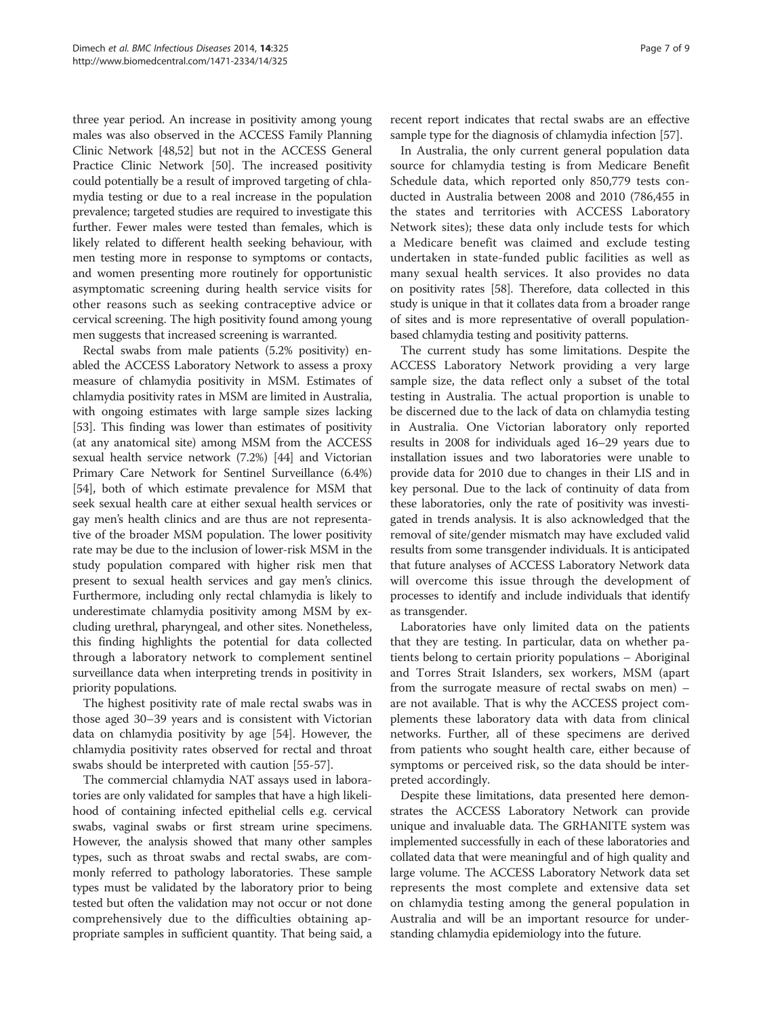three year period. An increase in positivity among young males was also observed in the ACCESS Family Planning Clinic Network [[48,52](#page-8-0)] but not in the ACCESS General Practice Clinic Network [\[50\]](#page-8-0). The increased positivity could potentially be a result of improved targeting of chlamydia testing or due to a real increase in the population prevalence; targeted studies are required to investigate this further. Fewer males were tested than females, which is likely related to different health seeking behaviour, with men testing more in response to symptoms or contacts, and women presenting more routinely for opportunistic asymptomatic screening during health service visits for other reasons such as seeking contraceptive advice or cervical screening. The high positivity found among young men suggests that increased screening is warranted.

Rectal swabs from male patients (5.2% positivity) enabled the ACCESS Laboratory Network to assess a proxy measure of chlamydia positivity in MSM. Estimates of chlamydia positivity rates in MSM are limited in Australia, with ongoing estimates with large sample sizes lacking [[53](#page-8-0)]. This finding was lower than estimates of positivity (at any anatomical site) among MSM from the ACCESS sexual health service network (7.2%) [[44](#page-8-0)] and Victorian Primary Care Network for Sentinel Surveillance (6.4%) [[54](#page-8-0)], both of which estimate prevalence for MSM that seek sexual health care at either sexual health services or gay men's health clinics and are thus are not representative of the broader MSM population. The lower positivity rate may be due to the inclusion of lower-risk MSM in the study population compared with higher risk men that present to sexual health services and gay men's clinics. Furthermore, including only rectal chlamydia is likely to underestimate chlamydia positivity among MSM by excluding urethral, pharyngeal, and other sites. Nonetheless, this finding highlights the potential for data collected through a laboratory network to complement sentinel surveillance data when interpreting trends in positivity in priority populations.

The highest positivity rate of male rectal swabs was in those aged 30–39 years and is consistent with Victorian data on chlamydia positivity by age [[54](#page-8-0)]. However, the chlamydia positivity rates observed for rectal and throat swabs should be interpreted with caution [[55-57\]](#page-8-0).

The commercial chlamydia NAT assays used in laboratories are only validated for samples that have a high likelihood of containing infected epithelial cells e.g. cervical swabs, vaginal swabs or first stream urine specimens. However, the analysis showed that many other samples types, such as throat swabs and rectal swabs, are commonly referred to pathology laboratories. These sample types must be validated by the laboratory prior to being tested but often the validation may not occur or not done comprehensively due to the difficulties obtaining appropriate samples in sufficient quantity. That being said, a

recent report indicates that rectal swabs are an effective sample type for the diagnosis of chlamydia infection [\[57\]](#page-8-0).

In Australia, the only current general population data source for chlamydia testing is from Medicare Benefit Schedule data, which reported only 850,779 tests conducted in Australia between 2008 and 2010 (786,455 in the states and territories with ACCESS Laboratory Network sites); these data only include tests for which a Medicare benefit was claimed and exclude testing undertaken in state-funded public facilities as well as many sexual health services. It also provides no data on positivity rates [\[58\]](#page-8-0). Therefore, data collected in this study is unique in that it collates data from a broader range of sites and is more representative of overall populationbased chlamydia testing and positivity patterns.

The current study has some limitations. Despite the ACCESS Laboratory Network providing a very large sample size, the data reflect only a subset of the total testing in Australia. The actual proportion is unable to be discerned due to the lack of data on chlamydia testing in Australia. One Victorian laboratory only reported results in 2008 for individuals aged 16–29 years due to installation issues and two laboratories were unable to provide data for 2010 due to changes in their LIS and in key personal. Due to the lack of continuity of data from these laboratories, only the rate of positivity was investigated in trends analysis. It is also acknowledged that the removal of site/gender mismatch may have excluded valid results from some transgender individuals. It is anticipated that future analyses of ACCESS Laboratory Network data will overcome this issue through the development of processes to identify and include individuals that identify as transgender.

Laboratories have only limited data on the patients that they are testing. In particular, data on whether patients belong to certain priority populations – Aboriginal and Torres Strait Islanders, sex workers, MSM (apart from the surrogate measure of rectal swabs on men) – are not available. That is why the ACCESS project complements these laboratory data with data from clinical networks. Further, all of these specimens are derived from patients who sought health care, either because of symptoms or perceived risk, so the data should be interpreted accordingly.

Despite these limitations, data presented here demonstrates the ACCESS Laboratory Network can provide unique and invaluable data. The GRHANITE system was implemented successfully in each of these laboratories and collated data that were meaningful and of high quality and large volume. The ACCESS Laboratory Network data set represents the most complete and extensive data set on chlamydia testing among the general population in Australia and will be an important resource for understanding chlamydia epidemiology into the future.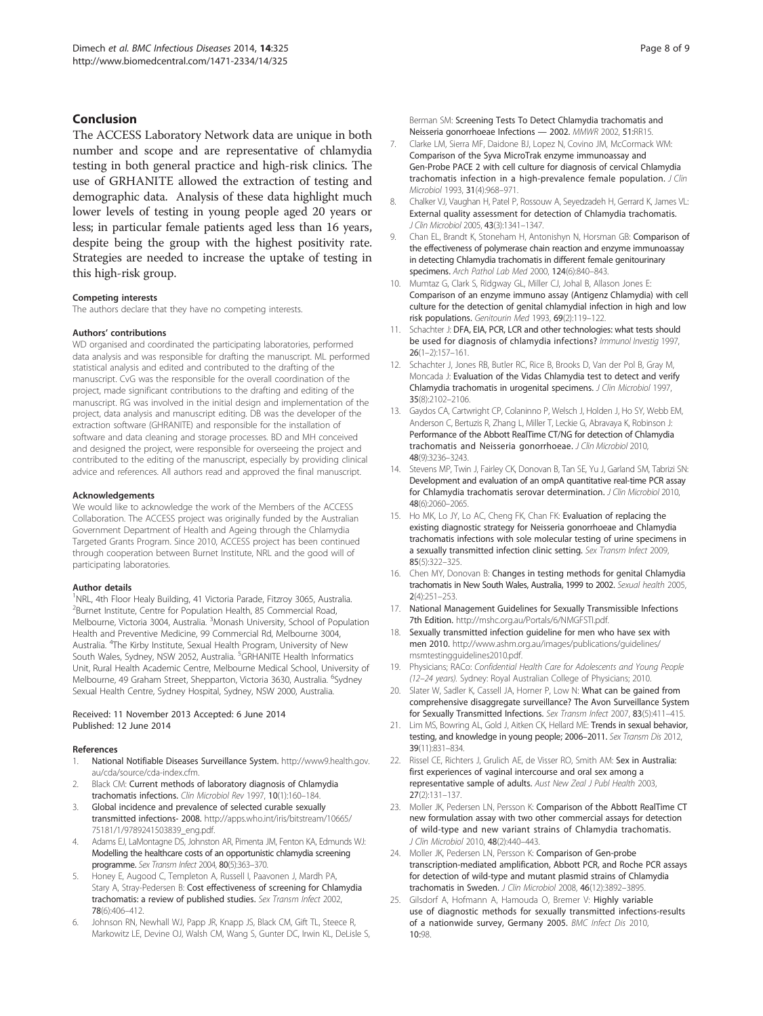# <span id="page-7-0"></span>Conclusion

The ACCESS Laboratory Network data are unique in both number and scope and are representative of chlamydia testing in both general practice and high-risk clinics. The use of GRHANITE allowed the extraction of testing and demographic data. Analysis of these data highlight much lower levels of testing in young people aged 20 years or less; in particular female patients aged less than 16 years, despite being the group with the highest positivity rate. Strategies are needed to increase the uptake of testing in this high-risk group.

#### Competing interests

The authors declare that they have no competing interests.

#### Authors' contributions

WD organised and coordinated the participating laboratories, performed data analysis and was responsible for drafting the manuscript. ML performed statistical analysis and edited and contributed to the drafting of the manuscript. CvG was the responsible for the overall coordination of the project, made significant contributions to the drafting and editing of the manuscript. RG was involved in the initial design and implementation of the project, data analysis and manuscript editing. DB was the developer of the extraction software (GHRANITE) and responsible for the installation of software and data cleaning and storage processes. BD and MH conceived and designed the project, were responsible for overseeing the project and contributed to the editing of the manuscript, especially by providing clinical advice and references. All authors read and approved the final manuscript.

#### Acknowledgements

We would like to acknowledge the work of the Members of the ACCESS Collaboration. The ACCESS project was originally funded by the Australian Government Department of Health and Ageing through the Chlamydia Targeted Grants Program. Since 2010, ACCESS project has been continued through cooperation between Burnet Institute, NRL and the good will of participating laboratories.

#### Author details

<sup>1</sup>NRL, 4th Floor Healy Building, 41 Victoria Parade, Fitzroy 3065, Australia. 2 Burnet Institute, Centre for Population Health, 85 Commercial Road, Melbourne, Victoria 3004, Australia. <sup>3</sup>Monash University, School of Population Health and Preventive Medicine, 99 Commercial Rd, Melbourne 3004, Australia. <sup>4</sup>The Kirby Institute, Sexual Health Program, University of New South Wales, Sydney, NSW 2052, Australia. <sup>5</sup>GRHANITE Health Informatics Unit, Rural Health Academic Centre, Melbourne Medical School, University of Melbourne, 49 Graham Street, Shepparton, Victoria 3630, Australia. <sup>6</sup>Sydney Sexual Health Centre, Sydney Hospital, Sydney, NSW 2000, Australia.

#### Received: 11 November 2013 Accepted: 6 June 2014 Published: 12 June 2014

#### References

- 1. National Notifiable Diseases Surveillance System. [http://www9.health.gov.](http://www9.health.gov.au/cda/source/cda-index.cfm) [au/cda/source/cda-index.cfm.](http://www9.health.gov.au/cda/source/cda-index.cfm)
- Black CM: Current methods of laboratory diagnosis of Chlamydia trachomatis infections. Clin Microbiol Rev 1997, 10(1):160–184.
- 3. Global incidence and prevalence of selected curable sexually transmitted infections- 2008. [http://apps.who.int/iris/bitstream/10665/](http://apps.who.int/iris/bitstream/10665/75181/1/9789241503839_eng.pdf) [75181/1/9789241503839\\_eng.pdf.](http://apps.who.int/iris/bitstream/10665/75181/1/9789241503839_eng.pdf)
- 4. Adams EJ, LaMontagne DS, Johnston AR, Pimenta JM, Fenton KA, Edmunds WJ: Modelling the healthcare costs of an opportunistic chlamydia screening programme. Sex Transm Infect 2004, 80(5):363–370.
- 5. Honey E, Augood C, Templeton A, Russell I, Paavonen J, Mardh PA, Stary A, Stray-Pedersen B: Cost effectiveness of screening for Chlamydia trachomatis: a review of published studies. Sex Transm Infect 2002, 78(6):406–412.
- 6. Johnson RN, Newhall WJ, Papp JR, Knapp JS, Black CM, Gift TL, Steece R, Markowitz LE, Devine OJ, Walsh CM, Wang S, Gunter DC, Irwin KL, DeLisle S,

Berman SM: Screening Tests To Detect Chlamydia trachomatis and Neisseria gonorrhoeae Infections — 2002. MMWR 2002, 51:RR15.

- 7. Clarke LM, Sierra MF, Daidone BJ, Lopez N, Covino JM, McCormack WM: Comparison of the Syva MicroTrak enzyme immunoassay and Gen-Probe PACE 2 with cell culture for diagnosis of cervical Chlamydia trachomatis infection in a high-prevalence female population. J Clin Microbiol 1993, 31(4):968–971.
- 8. Chalker VJ, Vaughan H, Patel P, Rossouw A, Seyedzadeh H, Gerrard K, James VL: External quality assessment for detection of Chlamydia trachomatis. J Clin Microbiol 2005, 43(3):1341–1347.
- Chan EL, Brandt K, Stoneham H, Antonishyn N, Horsman GB: Comparison of the effectiveness of polymerase chain reaction and enzyme immunoassay in detecting Chlamydia trachomatis in different female genitourinary specimens. Arch Pathol Lab Med 2000, 124(6):840–843.
- 10. Mumtaz G, Clark S, Ridgway GL, Miller CJ, Johal B, Allason Jones E: Comparison of an enzyme immuno assay (Antigenz Chlamydia) with cell culture for the detection of genital chlamydial infection in high and low risk populations. Genitourin Med 1993, 69(2):119–122.
- 11. Schachter J: DFA, EIA, PCR, LCR and other technologies: what tests should be used for diagnosis of chlamydia infections? Immunol Investig 1997, 26(1–2):157–161.
- 12. Schachter J, Jones RB, Butler RC, Rice B, Brooks D, Van der Pol B, Gray M, Moncada J: Evaluation of the Vidas Chlamydia test to detect and verify Chlamydia trachomatis in urogenital specimens. J Clin Microbiol 1997, 35(8):2102–2106.
- 13. Gaydos CA, Cartwright CP, Colaninno P, Welsch J, Holden J, Ho SY, Webb EM, Anderson C, Bertuzis R, Zhang L, Miller T, Leckie G, Abravaya K, Robinson J: Performance of the Abbott RealTime CT/NG for detection of Chlamydia trachomatis and Neisseria gonorrhoeae. J Clin Microbiol 2010, 48(9):3236–3243.
- 14. Stevens MP, Twin J, Fairley CK, Donovan B, Tan SE, Yu J, Garland SM, Tabrizi SN: Development and evaluation of an ompA quantitative real-time PCR assay for Chlamydia trachomatis serovar determination. J Clin Microbiol 2010, 48(6):2060–2065.
- 15. Ho MK, Lo JY, Lo AC, Cheng FK, Chan FK: Evaluation of replacing the existing diagnostic strategy for Neisseria gonorrhoeae and Chlamydia trachomatis infections with sole molecular testing of urine specimens in a sexually transmitted infection clinic setting. Sex Transm Infect 2009, 85(5):322–325.
- 16. Chen MY, Donovan B: Changes in testing methods for genital Chlamydia trachomatis in New South Wales, Australia, 1999 to 2002. Sexual health 2005, 2(4):251–253.
- 17. National Management Guidelines for Sexually Transmissible Infections 7th Edition. <http://mshc.org.au/Portals/6/NMGFSTI.pdf>.
- 18. Sexually transmitted infection guideline for men who have sex with men 2010. [http://www.ashm.org.au/images/publications/guidelines/](http://www.ashm.org.au/images/publications/guidelines/msmtestingguidelines2010.pdf) [msmtestingguidelines2010.pdf.](http://www.ashm.org.au/images/publications/guidelines/msmtestingguidelines2010.pdf)
- 19. Physicians; RACo: Confidential Health Care for Adolescents and Young People (12–24 years). Sydney: Royal Australian College of Physicians; 2010.
- 20. Slater W, Sadler K, Cassell JA, Horner P, Low N: What can be gained from comprehensive disaggregate surveillance? The Avon Surveillance System for Sexually Transmitted Infections. Sex Transm Infect 2007, 83(5):411–415.
- 21. Lim MS, Bowring AL, Gold J, Aitken CK, Hellard ME: Trends in sexual behavior, testing, and knowledge in young people; 2006–2011. Sex Transm Dis 2012, 39(11):831–834.
- 22. Rissel CE, Richters J, Grulich AE, de Visser RO, Smith AM: Sex in Australia: first experiences of vaginal intercourse and oral sex among a representative sample of adults. Aust New Zeal J Publ Health 2003, 27(2):131–137.
- 23. Moller JK, Pedersen LN, Persson K: Comparison of the Abbott RealTime CT new formulation assay with two other commercial assays for detection of wild-type and new variant strains of Chlamydia trachomatis. J Clin Microbiol 2010, 48(2):440–443.
- 24. Moller JK, Pedersen LN, Persson K: Comparison of Gen-probe transcription-mediated amplification, Abbott PCR, and Roche PCR assays for detection of wild-type and mutant plasmid strains of Chlamydia trachomatis in Sweden. J Clin Microbiol 2008, 46(12):3892–3895.
- 25. Gilsdorf A, Hofmann A, Hamouda O, Bremer V: Highly variable use of diagnostic methods for sexually transmitted infections-results of a nationwide survey, Germany 2005. BMC Infect Dis 2010, 10:98.